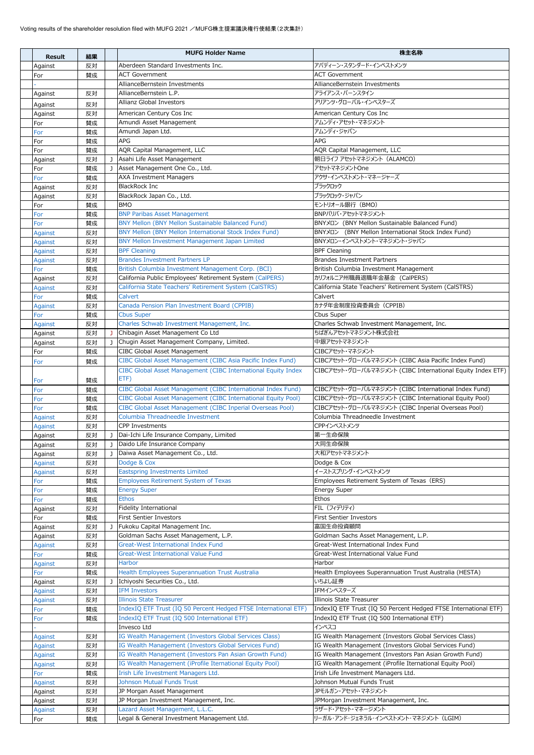| <b>Result</b>                    | 結果       |              | <b>MUFG Holder Name</b>                                                                        | 株主名称                                                                                   |
|----------------------------------|----------|--------------|------------------------------------------------------------------------------------------------|----------------------------------------------------------------------------------------|
| Against                          | 反対       |              | Aberdeen Standard Investments Inc.                                                             | アバディーン・スタンダード・インベストメンツ                                                                 |
| For                              | 替成       |              | <b>ACT Government</b>                                                                          | <b>ACT Government</b>                                                                  |
|                                  |          |              | AllianceBernstein Investments                                                                  | AllianceBernstein Investments                                                          |
| Against                          | 反対       |              | AllianceBernstein L.P.                                                                         | アライアンス・バーンスタイン                                                                         |
| Against                          | 反対       |              | Allianz Global Investors                                                                       | アリアンツ・グローバル・インベスターズ                                                                    |
| Against                          | 反対       |              | American Century Cos Inc                                                                       | American Century Cos Inc                                                               |
| For                              | 賛成       |              | Amundi Asset Management                                                                        | アムンディ・アセット・マネジメント                                                                      |
| For                              | 賛成       |              | Amundi Japan Ltd.                                                                              | アムンディ・ジャパン                                                                             |
| For                              | 賛成       |              | <b>APG</b>                                                                                     | <b>APG</b>                                                                             |
| For                              | 賛成       |              | AQR Capital Management, LLC                                                                    | AQR Capital Management, LLC                                                            |
| Against                          | 反対       | $\mathbf{J}$ | Asahi Life Asset Management                                                                    | 朝日ライフ アセットマネジメント (ALAMCO)                                                              |
| For                              | 賛成       | $\mathbf{J}$ | Asset Management One Co., Ltd.                                                                 | アセットマネジメントOne<br>アクサ・インベストメント・マネージャーズ                                                  |
| For                              | 賛成<br>反対 |              | <b>AXA Investment Managers</b><br><b>BlackRock Inc</b>                                         | ブラックロック                                                                                |
| Against<br>Against               | 反対       |              | BlackRock Japan Co., Ltd.                                                                      | ブラックロック・ジャパン                                                                           |
| For                              | 賛成       |              | <b>BMO</b>                                                                                     | モントリオール銀行 (BMO)                                                                        |
| For                              | 替成       |              | <b>BNP Paribas Asset Management</b>                                                            | BNPパリバ・アセットマネジメント                                                                      |
| For                              | 賛成       |              | BNY Mellon (BNY Mellon Sustainable Balanced Fund)                                              | BNYYI> (BNY Mellon Sustainable Balanced Fund)                                          |
| <b>Against</b>                   | 反対       |              | BNY Mellon (BNY Mellon International Stock Index Fund)                                         | BNYメロン (BNY Mellon International Stock Index Fund)                                     |
| <b>Against</b>                   | 反対       |              | BNY Mellon Investment Management Japan Limited                                                 | BNYメロン・インベストメント・マネジメント・ジャパン                                                            |
| <b>Against</b>                   | 反対       |              | <b>BPF Cleaning</b>                                                                            | <b>BPF Cleaning</b>                                                                    |
| <b>Against</b>                   | 反対       |              | <b>Brandes Investment Partners LP</b>                                                          | <b>Brandes Investment Partners</b>                                                     |
| For                              | 賛成       |              | British Columbia Investment Management Corp. (BCI)                                             | British Columbia Investment Management                                                 |
| Against                          | 反対       |              | California Public Employees' Retirement System (CalPERS)                                       | カリフォルニア州職員退職年金基金 (CalPERS)                                                             |
| Against                          | 反対       |              | California State Teachers' Retirement System (CalSTRS)<br>Calvert                              | California State Teachers' Retirement System (CalSTRS)<br>Calvert                      |
| For<br><b>Against</b>            | 賛成<br>反対 |              | Canada Pension Plan Investment Board (CPPIB)                                                   | カナダ年金制度投資委員会 (CPPIB)                                                                   |
| For                              | 賛成       |              | <b>Cbus Super</b>                                                                              | Cbus Super                                                                             |
| Against                          | 反対       |              | Charles Schwab Investment Management, Inc.                                                     | Charles Schwab Investment Management, Inc.                                             |
| Against                          | 反対       | J.           | Chibagin Asset Management Co Ltd                                                               | ちばぎんアセットマネジメント株式会社                                                                     |
| Against                          | 反対       |              | J Chugin Asset Management Company, Limited.                                                    | 中銀アセットマネジメント                                                                           |
| For                              | 賛成       |              | CIBC Global Asset Management                                                                   | CIBCアセット・マネジメント                                                                        |
| For                              | 賛成       |              | CIBC Global Asset Management (CIBC Asia Pacific Index Fund)                                    | CIBCアセット・グローバルマネジメント (CIBC Asia Pacific Index Fund)                                    |
|                                  |          |              | CIBC Global Asset Management (CIBC International Equity Index                                  | CIBCアセット・グローバルマネジメント (CIBC International Equity Index ETF)                             |
| For                              | 賛成       |              | ETF)                                                                                           |                                                                                        |
| For                              | 賛成       |              | CIBC Global Asset Management (CIBC International Index Fund)                                   | CIBCアセット・グローバルマネジメント (CIBC International Index Fund)                                   |
| For                              | 賛成       |              | CIBC Global Asset Management (CIBC International Equity Pool)                                  | CIBCアセット・グローバルマネジメント (CIBC International Equity Pool)                                  |
| For                              | 賛成<br>反対 |              | CIBC Global Asset Management (CIBC Inperial Overseas Pool)<br>Columbia Threadneedle Investment | CIBCアセット・グローバルマネジメント (CIBC Inperial Overseas Pool)<br>Columbia Threadneedle Investment |
| <b>Against</b><br><b>Against</b> | 反対       |              | <b>CPP Investments</b>                                                                         | CPPインベストメンツ                                                                            |
| Against                          | 反対       | J            | Dai-Ichi Life Insurance Company, Limited                                                       | 第一生命保険                                                                                 |
| Against                          | 反対       | $\mathbf{J}$ | Daido Life Insurance Company                                                                   | 大同生命保険                                                                                 |
| Against                          | 反対       |              | Daiwa Asset Management Co., Ltd.                                                               | 大和アセットマネジメント                                                                           |
| Against                          | 反対       |              | Dodge & Cox                                                                                    | Dodge & Cox                                                                            |
| <b>Against</b>                   | 反対       |              | <b>Eastspring Investments Limited</b>                                                          | イーストスプリング・インベストメンツ                                                                     |
| For                              | 賛成       |              | <b>Employees Retirement System of Texas</b>                                                    | Employees Retirement System of Texas (ERS)                                             |
| For                              | 賛成       |              | <b>Energy Super</b>                                                                            | <b>Energy Super</b>                                                                    |
| For                              | 賛成       |              | <b>Ethos</b>                                                                                   | Ethos                                                                                  |
| Against                          | 反対       |              | <b>Fidelity International</b><br><b>First Sentier Investors</b>                                | FIL (フィデリティ)<br><b>First Sentier Investors</b>                                         |
| For                              | 賛成<br>反対 | J.           | Fukoku Capital Management Inc.                                                                 | 富国生命投資顧問                                                                               |
| Against<br>Against               | 反対       |              | Goldman Sachs Asset Management, L.P.                                                           | Goldman Sachs Asset Management, L.P.                                                   |
| Against                          | 反対       |              | <b>Great-West International Index Fund</b>                                                     | Great-West International Index Fund                                                    |
| For                              | 賛成       |              | <b>Great-West International Value Fund</b>                                                     | Great-West International Value Fund                                                    |
| <b>Against</b>                   | 反対       |              | <b>Harbor</b>                                                                                  | Harbor                                                                                 |
| For                              | 賛成       |              | <b>Health Employees Superannuation Trust Australia</b>                                         | Health Employees Superannuation Trust Australia (HESTA)                                |
| Against                          | 反対       | J.           | Ichiyoshi Securities Co., Ltd.                                                                 | いちよし証券                                                                                 |
| Against                          | 反対       |              | <b>IFM Investors</b>                                                                           | IFMインベスターズ                                                                             |
| Against                          | 反対       |              | <b>Illinois State Treasurer</b>                                                                | Illinois State Treasurer                                                               |
| For                              | 賛成       |              | IndexIQ ETF Trust (IQ 50 Percent Hedged FTSE International ETF)                                | IndexIQ ETF Trust (IQ 50 Percent Hedged FTSE International ETF)                        |
| For                              | 賛成       |              | IndexIQ ETF Trust (IQ 500 International ETF)<br>Invesco Ltd                                    | IndexIQ ETF Trust (IQ 500 International ETF)<br>インベスコ                                  |
| <b>Against</b>                   | 反対       |              | IG Wealth Management (Investors Global Services Class)                                         | IG Wealth Management (Investors Global Services Class)                                 |
| Against                          | 反対       |              | IG Wealth Management (Investors Global Services Fund)                                          | IG Wealth Management (Investors Global Services Fund)                                  |
| Against                          | 反対       |              | IG Wealth Management (Investors Pan Asian Growth Fund)                                         | IG Wealth Management (Investors Pan Asian Growth Fund)                                 |
| Against                          | 反対       |              | IG Wealth Management (iProfile Iternational Equity Pool)                                       | IG Wealth Management (iProfile Iternational Equity Pool)                               |
| For                              | 賛成       |              | Irish Life Investment Managers Ltd.                                                            | Irish Life Investment Managers Ltd.                                                    |
| Against                          | 反対       |              | <b>Johnson Mutual Funds Trust</b>                                                              | Johnson Mutual Funds Trust                                                             |
| Against                          | 反対       |              | JP Morgan Asset Management                                                                     | JPモルガン・アセット・マネジメント                                                                     |
| Against                          | 反対       |              | JP Morgan Investment Management, Inc.                                                          | JPMorgan Investment Management, Inc.                                                   |
| Against                          | 反対       |              | Lazard Asset Management, L.L.C.<br>Legal & General Investment Management Ltd.                  | ラザード・アセット・マネージメント<br>リーガル・アンド・ジェネラル・インベストメント・マネジメント (LGIM)                             |
| For                              | 賛成       |              |                                                                                                |                                                                                        |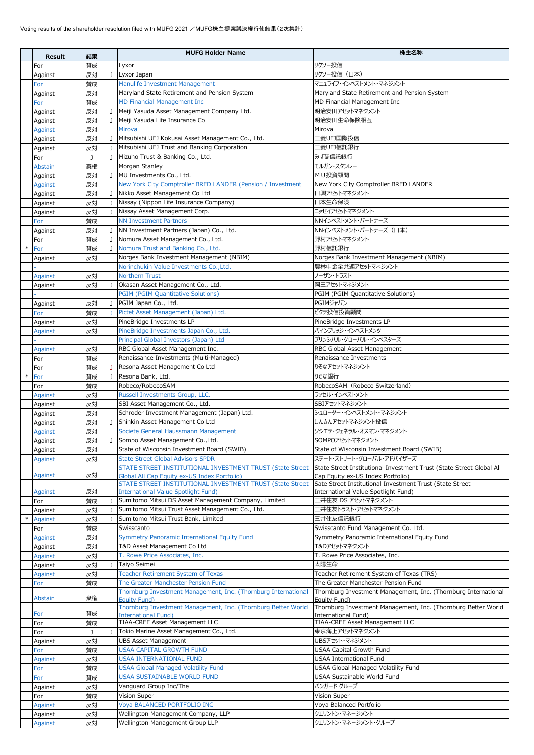|        | <b>Result</b>      | 結果       |              | <b>MUFG Holder Name</b>                                                                                   | 株主名称                                                                                                      |
|--------|--------------------|----------|--------------|-----------------------------------------------------------------------------------------------------------|-----------------------------------------------------------------------------------------------------------|
|        | For                | 賛成       |              | Lyxor                                                                                                     | リクソー投信                                                                                                    |
|        | Against            | 反対       | $\mathbf{J}$ | Lyxor Japan                                                                                               | リクソー投信 (日本)                                                                                               |
|        | For                | 賛成       |              | Manulife Investment Management                                                                            | マニュライフ・インベストメント・マネジメント                                                                                    |
|        | Against            | 反対       |              | Maryland State Retirement and Pension System                                                              | Maryland State Retirement and Pension System                                                              |
|        | For                | 賛成       |              | MD Financial Management Inc                                                                               | MD Financial Management Inc                                                                               |
|        | Against            | 反対       | J.           | Meiji Yasuda Asset Management Company Ltd.                                                                | 明治安田アセットマネジメント                                                                                            |
|        | Against            | 反対       | J            | Meiji Yasuda Life Insurance Co                                                                            | 明治安田生命保険相互                                                                                                |
|        | Against            | 反対       |              | Mirova                                                                                                    | Mirova                                                                                                    |
|        | Against            | 反対       | J.           | Mitsubishi UFJ Kokusai Asset Management Co., Ltd.<br>Mitsubishi UFJ Trust and Banking Corporation         | 三菱UFJ国際投信<br>三菱UFJ信託銀行                                                                                    |
|        | Against<br>For     | 反対<br>J  | J            | Mizuho Trust & Banking Co., Ltd.                                                                          | みずほ信託銀行                                                                                                   |
|        | Abstain            | 棄権       |              | Morgan Stanley                                                                                            | モルガン・スタンレー                                                                                                |
|        | Against            | 反対       | J            | MU Investments Co., Ltd.                                                                                  | MU投資顧問                                                                                                    |
|        | Against            | 反対       |              | New York City Comptroller BRED LANDER (Pension / Investment                                               | New York City Comptroller BRED LANDER                                                                     |
|        | Against            | 反対       | $\mathbf{J}$ | Nikko Asset Management Co Ltd                                                                             | 日興アセットマネジメント                                                                                              |
|        | Against            | 反対       | J            | Nissay (Nippon Life Insurance Company)                                                                    | 日本生命保険                                                                                                    |
|        | Against            | 反対       |              | Nissay Asset Management Corp.                                                                             | ニッセイアセットマネジメント                                                                                            |
|        | For                | 賛成       |              | <b>NN Investment Partners</b><br>NN Investment Partners (Japan) Co., Ltd.                                 | NNインベストメント・パートナーズ<br>NNインベストメント・パートナーズ (日本)                                                               |
|        | Against<br>For     | 反対<br>賛成 | J.           | Nomura Asset Management Co., Ltd.                                                                         | 野村アセットマネジメント                                                                                              |
| $\ast$ | For                | 賛成       | $\mathbf{J}$ | Nomura Trust and Banking Co., Ltd.                                                                        | 野村信託銀行                                                                                                    |
|        | Against            | 反対       |              | Norges Bank Investment Management (NBIM)                                                                  | Norges Bank Investment Management (NBIM)                                                                  |
|        |                    |          |              | Norinchukin Value Investments Co., Ltd.                                                                   | 農林中金全共連アセットマネジメント                                                                                         |
|        | Against            | 反対       |              | <b>Northern Trust</b>                                                                                     | ノーザン・トラスト                                                                                                 |
|        | Against            | 反対       | J            | Okasan Asset Management Co., Ltd.                                                                         | 岡三アセットマネジメント                                                                                              |
|        |                    |          |              | <b>PGIM (PGIM Quantitative Solutions)</b>                                                                 | PGIM (PGIM Quantitative Solutions)                                                                        |
|        | Against            | 反対       |              | PGIM Japan Co., Ltd.                                                                                      | PGIMジャパン                                                                                                  |
|        | For                | 賛成       |              | Pictet Asset Management (Japan) Ltd.<br>PineBridge Investments LP                                         | ピクテ投信投資顧問<br>PineBridge Investments LP                                                                    |
|        | Against<br>Against | 反対<br>反対 |              | PineBridge Investments Japan Co., Ltd.                                                                    | パインブリッジ・インベストメンツ                                                                                          |
|        |                    |          |              | Principal Global Investors (Japan) Ltd                                                                    | プリンシパル・グローバル・インベスターズ                                                                                      |
|        | Against            | 反対       |              | RBC Global Asset Management Inc.                                                                          | RBC Global Asset Management                                                                               |
|        | For                | 賛成       |              | Renaissance Investments (Multi-Managed)                                                                   | Renaissance Investments                                                                                   |
|        | For                | 賛成       |              | Resona Asset Management Co Ltd                                                                            | りそなアセットマネジメント                                                                                             |
|        | For                | 賛成       |              | Resona Bank, Ltd.                                                                                         | りそな銀行                                                                                                     |
|        | For                | 賛成       |              | Robeco/RobecoSAM                                                                                          | RobecoSAM (Robeco Switzerland)                                                                            |
|        | Against            | 反対<br>反対 |              | Russell Investments Group, LLC.<br>SBI Asset Management Co., Ltd.                                         | ラッセル・インベストメント<br>SBIアセットマネジメント                                                                            |
|        | Against<br>Against | 反対       |              | Schroder Investment Management (Japan) Ltd.                                                               | シュローダー・インベストメント・マネジメント                                                                                    |
|        | Against            | 反対       | J            | Shinkin Asset Management Co Ltd                                                                           | しんきんアセットマネジメント投信                                                                                          |
|        | <b>Against</b>     | 反対       |              | Societe General Haussmann Management                                                                      | ソシエテ・ジェネラル・オスマン・マネジメント                                                                                    |
|        | Against            | 反対       |              | Sompo Asset Management Co., Ltd.                                                                          | SOMPOアセットマネジメント                                                                                           |
|        | Against            | 反対       |              | State of Wisconsin Investment Board (SWIB)                                                                | State of Wisconsin Investment Board (SWIB)                                                                |
|        | <b>Against</b>     | 反対       |              | <b>State Street Global Advisors SPDR</b>                                                                  | ステート・ストリート・グローバル・アドバイザーズ                                                                                  |
|        | Against            | 反対       |              | STATE STREET INSTITUTIONAL INVESTMENT TRUST (State Street<br>Global All Cap Equity ex-US Index Portfolio) | State Street Institutional Investment Trust (State Street Global All<br>Cap Equity ex-US Index Portfolio) |
|        |                    |          |              | STATE STREET INSTITUTIONAL INVESTMENT TRUST (State Street                                                 | Sate Street Institutional Investment Trust (State Street                                                  |
|        | Against            | 反対       |              | <b>International Value Spotlight Fund)</b>                                                                | International Value Spotlight Fund)                                                                       |
|        | For                | 賛成       |              | Sumitomo Mitsui DS Asset Management Company, Limited                                                      | 三井住友 DS アセットマネジメント                                                                                        |
|        | Against            | 反対       | J            | Sumitomo Mitsui Trust Asset Management Co., Ltd.<br>Sumitomo Mitsui Trust Bank, Limited                   | 三井住友トラスト・アセットマネジメント<br>三井住友信託銀行                                                                           |
|        | Against<br>For     | 反対<br>賛成 |              | Swisscanto                                                                                                | Swisscanto Fund Management Co. Ltd.                                                                       |
|        | Against            | 反対       |              | Symmetry Panoramic International Equity Fund                                                              | Symmetry Panoramic International Equity Fund                                                              |
|        | Against            | 反対       |              | T&D Asset Management Co Ltd                                                                               | T&Dアセットマネジメント                                                                                             |
|        | Against            | 反対       |              | T. Rowe Price Associates, Inc.                                                                            | T. Rowe Price Associates, Inc.                                                                            |
|        | Against            | 反対       | J            | Taiyo Seimei                                                                                              | 太陽生命                                                                                                      |
|        | <b>Against</b>     | 反対       |              | Teacher Retirement System of Texas<br>The Greater Manchester Pension Fund                                 | Teacher Retirement System of Texas (TRS)<br>The Greater Manchester Pension Fund                           |
|        | For                | 賛成       |              | Thornburg Investment Management, Inc. (Thornburg International                                            | Thornburg Investment Management, Inc. (Thornburg International                                            |
|        | Abstain            | 棄権       |              | Eauity Fund)                                                                                              | Equity Fund)                                                                                              |
|        |                    |          |              | Thornburg Investment Management, Inc. (Thornburg Better World                                             | Thornburg Investment Management, Inc. (Thornburg Better World                                             |
|        | For<br>For         | 賛成<br>賛成 |              | <b>International Fund)</b><br>TIAA-CREF Asset Management LLC                                              | International Fund)<br>TIAA-CREF Asset Management LLC                                                     |
|        | For                | J        |              | Tokio Marine Asset Management Co., Ltd.                                                                   | 東京海上アセットマネジメント                                                                                            |
|        | Against            | 反対       |              | <b>UBS Asset Management</b>                                                                               | UBSアセット・マネジメント                                                                                            |
|        | For                | 賛成       |              | <b>USAA CAPITAL GROWTH FUND</b>                                                                           | USAA Capital Growth Fund                                                                                  |
|        | Against            | 反対       |              | <b>USAA INTERNATIONAL FUND</b>                                                                            | USAA International Fund                                                                                   |
|        | For                | 賛成       |              | <b>USAA Global Managed Volatility Fund</b><br><b>USAA SUSTAINABLE WORLD FUND</b>                          | USAA Global Managed Volatility Fund                                                                       |
|        | For<br>Against     | 賛成<br>反対 |              | Vanguard Group Inc/The                                                                                    | USAA Sustainable World Fund<br>バンガード グループ                                                                 |
|        | For                | 賛成       |              | Vision Super                                                                                              | Vision Super                                                                                              |
|        | <b>Against</b>     | 反対       |              | Voya BALANCED PORTFOLIO INC                                                                               | Voya Balanced Portfolio                                                                                   |
|        | Against            | 反対       |              | Wellington Management Company, LLP                                                                        | ウエリントン・マネージメント                                                                                            |
|        | <b>Against</b>     | 反対       |              | Wellington Management Group LLP                                                                           | ウエリントン・マネージメント・グループ                                                                                       |